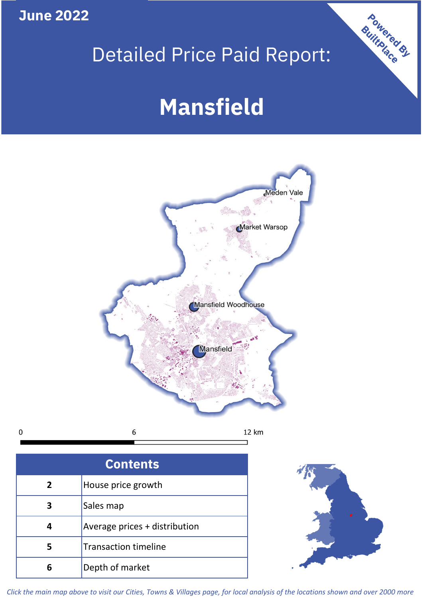**June 2022**

**5**

**4**

**3**

Sales map

**6** Depth of market

Average prices + distribution

Transaction timeline

## Detailed Price Paid Report:

Powered By

# **Mansfield**



*Click the main map above to visit our Cities, Towns & Villages page, for local analysis of the locations shown and over 2000 more*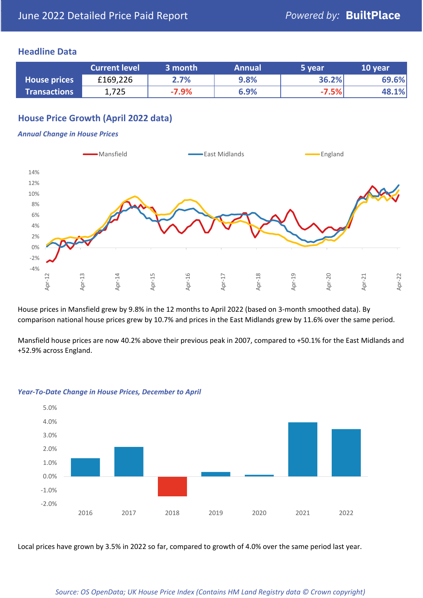#### **Headline Data**

|                     | <b>Current level</b> | 3 month | <b>Annual</b> | 5 year  | 10 year |
|---------------------|----------------------|---------|---------------|---------|---------|
| <b>House prices</b> | £169,226             | 2.7%    | 9.8%          | 36.2%   | 69.6%   |
| <b>Transactions</b> | 1,725                | $-7.9%$ | 6.9%          | $-7.5%$ | 48.1%   |

## **House Price Growth (April 2022 data)**

#### *Annual Change in House Prices*



House prices in Mansfield grew by 9.8% in the 12 months to April 2022 (based on 3-month smoothed data). By comparison national house prices grew by 10.7% and prices in the East Midlands grew by 11.6% over the same period.

Mansfield house prices are now 40.2% above their previous peak in 2007, compared to +50.1% for the East Midlands and +52.9% across England.



#### *Year-To-Date Change in House Prices, December to April*

Local prices have grown by 3.5% in 2022 so far, compared to growth of 4.0% over the same period last year.

#### *Source: OS OpenData; UK House Price Index (Contains HM Land Registry data © Crown copyright)*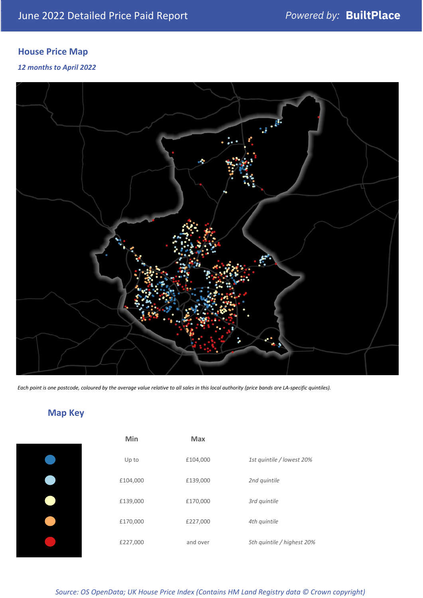## **House Price Map**

*12 months to April 2022*



*Each point is one postcode, coloured by the average value relative to all sales in this local authority (price bands are LA-specific quintiles).*

## **Map Key**

| Min      | <b>Max</b> |                            |
|----------|------------|----------------------------|
| Up to    | £104,000   | 1st quintile / lowest 20%  |
| £104,000 | £139,000   | 2nd quintile               |
| £139,000 | £170,000   | 3rd quintile               |
| £170,000 | £227,000   | 4th quintile               |
| £227,000 | and over   | 5th quintile / highest 20% |

*Source: OS OpenData; UK House Price Index (Contains HM Land Registry data © Crown copyright)*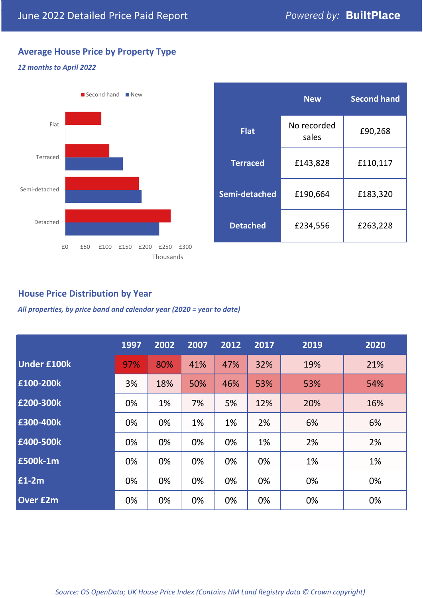## **Average House Price by Property Type**

## *12 months to April 2022*



|                 | <b>New</b>           | <b>Second hand</b> |  |  |
|-----------------|----------------------|--------------------|--|--|
| <b>Flat</b>     | No recorded<br>sales | £90,268            |  |  |
| <b>Terraced</b> | £143,828             | £110,117           |  |  |
| Semi-detached   | £190,664             | £183,320           |  |  |
| <b>Detached</b> | £234,556             | £263,228           |  |  |

### **House Price Distribution by Year**

*All properties, by price band and calendar year (2020 = year to date)*

|                    | 1997 | 2002 | 2007 | 2012 | 2017 | 2019 | 2020 |
|--------------------|------|------|------|------|------|------|------|
| <b>Under £100k</b> | 97%  | 80%  | 41%  | 47%  | 32%  | 19%  | 21%  |
| £100-200k          | 3%   | 18%  | 50%  | 46%  | 53%  | 53%  | 54%  |
| £200-300k          | 0%   | 1%   | 7%   | 5%   | 12%  | 20%  | 16%  |
| £300-400k          | 0%   | 0%   | 1%   | 1%   | 2%   | 6%   | 6%   |
| £400-500k          | 0%   | 0%   | 0%   | 0%   | 1%   | 2%   | 2%   |
| £500k-1m           | 0%   | 0%   | 0%   | 0%   | 0%   | 1%   | 1%   |
| £1-2m              | 0%   | 0%   | 0%   | 0%   | 0%   | 0%   | 0%   |
| <b>Over £2m</b>    | 0%   | 0%   | 0%   | 0%   | 0%   | 0%   | 0%   |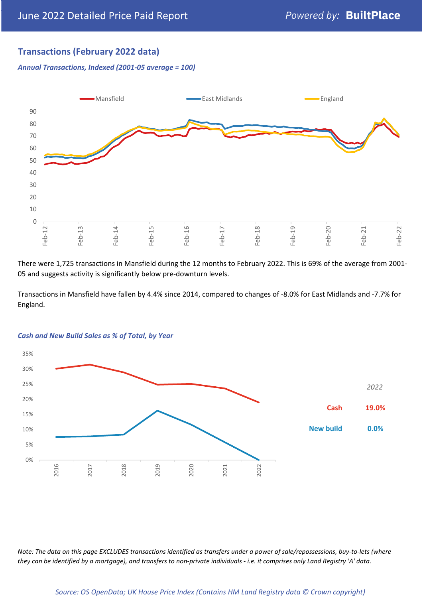## **Transactions (February 2022 data)**

*Annual Transactions, Indexed (2001-05 average = 100)*



There were 1,725 transactions in Mansfield during the 12 months to February 2022. This is 69% of the average from 2001- 05 and suggests activity is significantly below pre-downturn levels.

Transactions in Mansfield have fallen by 4.4% since 2014, compared to changes of -8.0% for East Midlands and -7.7% for England.



#### *Cash and New Build Sales as % of Total, by Year*

*Note: The data on this page EXCLUDES transactions identified as transfers under a power of sale/repossessions, buy-to-lets (where they can be identified by a mortgage), and transfers to non-private individuals - i.e. it comprises only Land Registry 'A' data.*